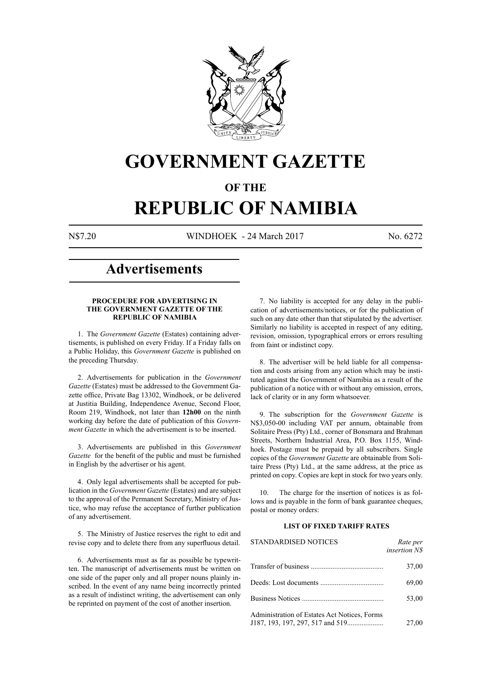

# **GOVERNMENT GAZETTE**

# **OF THE**

# **REPUBLIC OF NAMIBIA**

N\$7.20 WINDHOEK - 24 March 2017 No. 6272

# **Advertisements**

#### **PROCEDURE FOR ADVERTISING IN THE GOVERNMENT GAZETTE OF THE REPUBLIC OF NAMIBIA**

1. The *Government Gazette* (Estates) containing advertisements, is published on every Friday. If a Friday falls on a Public Holiday, this *Government Gazette* is published on the preceding Thursday.

2. Advertisements for publication in the *Government Gazette* (Estates) must be addressed to the Government Gazette office, Private Bag 13302, Windhoek, or be delivered at Justitia Building, Independence Avenue, Second Floor, Room 219, Windhoek, not later than **12h00** on the ninth working day before the date of publication of this *Government Gazette* in which the advertisement is to be inserted.

3. Advertisements are published in this *Government Gazette* for the benefit of the public and must be furnished in English by the advertiser or his agent.

4. Only legal advertisements shall be accepted for publication in the *Government Gazette* (Estates) and are subject to the approval of the Permanent Secretary, Ministry of Justice, who may refuse the acceptance of further publication of any advertisement.

5. The Ministry of Justice reserves the right to edit and revise copy and to delete there from any superfluous detail.

6. Advertisements must as far as possible be typewritten. The manuscript of advertisements must be written on one side of the paper only and all proper nouns plainly inscribed. In the event of any name being incorrectly printed as a result of indistinct writing, the advertisement can only be reprinted on payment of the cost of another insertion.

7. No liability is accepted for any delay in the publication of advertisements/notices, or for the publication of such on any date other than that stipulated by the advertiser. Similarly no liability is accepted in respect of any editing, revision, omission, typographical errors or errors resulting from faint or indistinct copy.

8. The advertiser will be held liable for all compensation and costs arising from any action which may be instituted against the Government of Namibia as a result of the publication of a notice with or without any omission, errors, lack of clarity or in any form whatsoever.

9. The subscription for the *Government Gazette* is N\$3,050-00 including VAT per annum, obtainable from Solitaire Press (Pty) Ltd., corner of Bonsmara and Brahman Streets, Northern Industrial Area, P.O. Box 1155, Windhoek. Postage must be prepaid by all subscribers. Single copies of the *Government Gazette* are obtainable from Solitaire Press (Pty) Ltd., at the same address, at the price as printed on copy. Copies are kept in stock for two years only.

10. The charge for the insertion of notices is as follows and is payable in the form of bank guarantee cheques, postal or money orders:

# **LIST OF FIXED TARIFF RATES**

| <b>STANDARDISED NOTICES</b>                  | Rate per<br><i>insertion NS</i> |
|----------------------------------------------|---------------------------------|
|                                              | 37,00                           |
|                                              | 69,00                           |
|                                              | 53,00                           |
| Administration of Estates Act Notices, Forms | 27,00                           |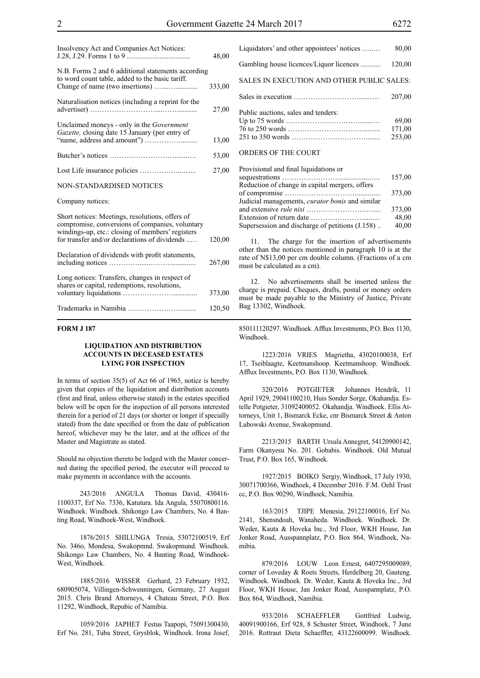| Insolvency Act and Companies Act Notices:                                                                                                                                                               | 48,00  |
|---------------------------------------------------------------------------------------------------------------------------------------------------------------------------------------------------------|--------|
| N.B. Forms 2 and 6 additional statements according<br>to word count table, added to the basic tariff.                                                                                                   | 333,00 |
|                                                                                                                                                                                                         |        |
| Naturalisation notices (including a reprint for the                                                                                                                                                     | 27,00  |
| Unclaimed moneys - only in the Government<br>Gazette, closing date 15 January (per entry of                                                                                                             |        |
|                                                                                                                                                                                                         | 13,00  |
|                                                                                                                                                                                                         | 53,00  |
|                                                                                                                                                                                                         | 27,00  |
| NON-STANDARDISED NOTICES                                                                                                                                                                                |        |
| Company notices:                                                                                                                                                                                        |        |
| Short notices: Meetings, resolutions, offers of<br>compromise, conversions of companies, voluntary<br>windings-up, etc.: closing of members' registers<br>for transfer and/or declarations of dividends | 120,00 |
|                                                                                                                                                                                                         |        |
| Declaration of dividends with profit statements,                                                                                                                                                        | 267,00 |
| Long notices: Transfers, changes in respect of<br>shares or capital, redemptions, resolutions,                                                                                                          |        |
|                                                                                                                                                                                                         | 373,00 |
|                                                                                                                                                                                                         | 120,50 |

### **FORM J 187**

#### **LIQUIDATION AND DISTRIBUTION ACCOUNTS IN DECEASED ESTATES LYING FOR INSPECTION**

In terms of section 35(5) of Act 66 of 1965, notice is hereby given that copies of the liquidation and distribution accounts (first and final, unless otherwise stated) in the estates specified below will be open for the inspection of all persons interested therein for a period of 21 days (or shorter or longer if specially stated) from the date specified or from the date of publication hereof, whichever may be the later, and at the offices of the Master and Magistrate as stated.

Should no objection thereto be lodged with the Master concerned during the specified period, the executor will proceed to make payments in accordance with the accounts.

243/2016 ANGULA Thomas David, 430416- 1100337, Erf No. 7336, Katutura. Ida Angula, 55070800116. Windhoek. Windhoek. Shikongo Law Chambers, No. 4 Banting Road, Windhoek-West, Windhoek.

1876/2015 SHILUNGA Tresia, 53072100519, Erf No. 346o, Mondesa, Swakopmnd. Swakopmund. Windhoek. Shikongo Law Chambers, No. 4 Banting Road, Windhoek-West, Windhoek.

1885/2016 WISSER Gerhard, 23 February 1932, 680905074, Villingen-Schwenningen, Germany, 27 August 2015. Chris Brand Attorneys, 4 Chateau Street, P.O. Box 11292, Windhoek, Repubic of Namibia.

1059/2016 JAPHET Festus Taapopi, 75091300430, Erf No. 281, Tuba Street, Grysblok, Windhoek. Irona Josef, Liquidators' and other appointees' notices …..… 80,00 Gambling house licences/Liquor licences ........... 120,00 SALES IN EXECUTION AND OTHER PUBLIC SALES: Sales in execution ………………………......…. 207,00 Public auctions, sales and tenders: Up to 75 words …………………….…….......… 69,00 76 to 250 words ……………………….….......... 171,00 251 to 350 words …………………….……........ 253,00 ORDERS OF THE COURT

| Provisional and final liquidations or                  |        |
|--------------------------------------------------------|--------|
|                                                        | 157,00 |
| Reduction of change in capital mergers, offers         |        |
|                                                        | 373,00 |
| Judicial managements, <i>curator bonis</i> and similar |        |
|                                                        | 373,00 |
|                                                        | 48,00  |
| Supersession and discharge of petitions (J.158)        | 40,00  |

Provisional and final liquidations or

11. The charge for the insertion of advertisements other than the notices mentioned in paragraph 10 is at the rate of N\$13,00 per cm double column. (Fractions of a cm must be calculated as a cm).

12. No advertisements shall be inserted unless the charge is prepaid. Cheques, drafts, postal or money orders must be made payable to the Ministry of Justice, Private Bag 13302, Windhoek.

850111120297. Windhoek. Afflux Investments, P.O. Box 1130, Windhoek.

1223/2016 VRIES Magrietha, 43020100038, Erf 17, Tseiblaagte, Keetmanshoop. Keetmanshoop. Windhoek. Afflux Investments, P.O. Box 1130, Windhoek.

320/2016 POTGIETER Johannes Hendrik, 11 April 1929, 29041100210, Huis Sonder Sorge, Okahandja. Estelle Potgieter, 31092400052. Okahandja. Windhoek. Ellis Attorneys, Unit 1, Bismarck Ecke, cnr Bismarck Street & Anton Lubowski Avenue, Swakopmund.

2213/2015 BARTH Ursula Annegret, 54120900142, Farm Okanyesu No. 201. Gobabis. Windhoek. Old Mutual Trust, P.O. Box 165, Windhoek.

1927/2015 BOIKO Sergiy, Windhoek, 17 July 1930, 30071700366, Windhoek, 4 December 2016. F.M. Oehl Trust cc, P.O. Box 90290, Windhoek, Namibia.

163/2015 TJIPE Menesia, 29122100016, Erf No. 2141, Shensndoah, Wanaheda. Windhoek. Windhoek. Dr. Weder, Kauta & Hoveka Inc., 3rd Floor, WKH House, Jan Jonker Road, Ausspannplatz, P.O. Box 864, Windhoek, Namibia.

879/2016 LOUW Leon Ernest, 6407295009089, corner of Loveday & Roets Streets, Herdelberg 20, Gauteng. Windhoek. Windhoek. Dr. Weder, Kauta & Hoveka Inc., 3rd Floor, WKH House, Jan Jonker Road, Ausspannplatz, P.O. Box 864, Windhoek, Namibia.

933/2016 SCHAEFFLER Gottfried Ludwig, 40091900166, Erf 928, 8 Schuster Street, Windhoek, 7 June 2016. Rottraut Dieta Schaeffler, 43122600099. Windhoek.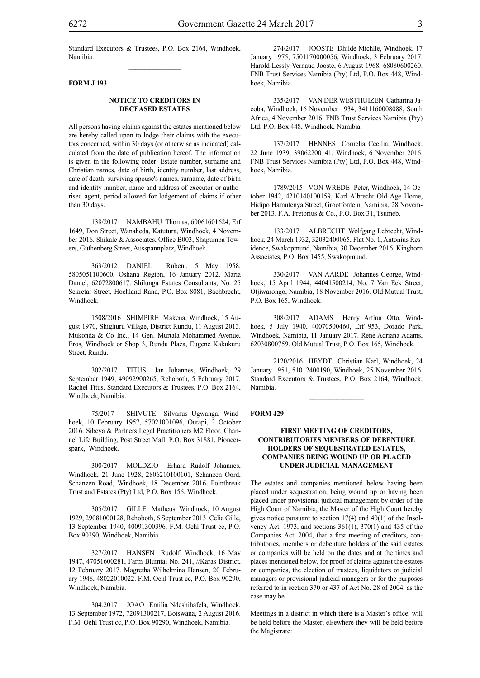#### **FORM J 193**

## **NOTICE TO CREDITORS IN DECEASED ESTATES**

All persons having claims against the estates mentioned below are hereby called upon to lodge their claims with the executors concerned, within 30 days (or otherwise as indicated) calculated from the date of publication hereof. The information is given in the following order: Estate number, surname and Christian names, date of birth, identity number, last address, date of death; surviving spouse's names, surname, date of birth and identity number; name and address of executor or authorised agent, period allowed for lodgement of claims if other than 30 days.

138/2017 NAMBAHU Thomas, 60061601624, Erf 1649, Don Street, Wanaheda, Katutura, Windhoek, 4 November 2016. Shikale & Associates, Office B003, Shapumba Towers, Guthenberg Street, Ausspannplatz, Windhoek.

363/2012 DANIEL Rubeni, 5 May 1958, 5805051100600, Oshana Region, 16 January 2012. Maria Daniel, 62072800617. Shilunga Estates Consultants, No. 25 Sekretar Street, Hochland Rand, P.O. Box 8081, Bachbrecht, Windhoek.

1508/2016 SHIMPIRE Makena, Windhoek, 15 August 1970, Shighuru Village, District Rundu, 11 August 2013. Mukonda & Co Inc., 14 Gen. Murtala Mohammed Avenue, Eros, Windhoek or Shop 3, Rundu Plaza, Eugene Kakukuru Street, Rundu.

302/2017 TITUS Jan Johannes, Windhoek, 29 September 1949, 49092900265, Rehoboth, 5 February 2017. Rachel Titus. Standard Executors & Trustees, P.O. Box 2164, Windhoek, Namibia.

75/2017 SHIVUTE Silvanus Ugwanga, Windhoek, 10 February 1957, 57021001096, Outapi, 2 October 2016. Sibeya & Partners Legal Practitioners M2 Floor, Channel Life Building, Post Street Mall, P.O. Box 31881, Pioneerspark, Windhoek.

300/2017 MOLDZIO Erhard Rudolf Johannes, Windhoek, 21 June 1928, 2806210100101, Schanzen Oord, Schanzen Road, Windhoek, 18 December 2016. Pointbreak Trust and Estates (Pty) Ltd, P.O. Box 156, Windhoek.

305/2017 GILLE Matheus, Windhoek, 10 August 1929, 29081000128, Rehoboth, 6 September 2013. Celia Gille, 13 September 1940, 40091300396. F.M. Oehl Trust cc, P.O. Box 90290, Windhoek, Namibia.

327/2017 HANSEN Rudolf, Windhoek, 16 May 1947, 47051600281, Farm Blumtal No. 241, //Karas District, 12 February 2017. Magretha Wilhelmina Hansen, 20 February 1948, 48022010022. F.M. Oehl Trust cc, P.O. Box 90290, Windhoek, Namibia.

304.2017 JOAO Emilia Ndeshihafela, Windhoek, 13 September 1972, 72091300217, Botswana, 2 August 2016. F.M. Oehl Trust cc, P.O. Box 90290, Windhoek, Namibia.

274/2017 JOOSTE Dhilde Michlle, Windhoek, 17 January 1975, 7501170000056, Windhoek, 3 February 2017. Harold Lessly Vernaud Jooste, 6 August 1968, 68080600260. FNB Trust Services Namibia (Pty) Ltd, P.O. Box 448, Windhoek, Namibia.

335/2017 VAN DER WESTHUIZEN Catharina Jacoba, Windhoek, 16 November 1934, 3411160008088, South Africa, 4 November 2016. FNB Trust Services Namibia (Pty) Ltd, P.O. Box 448, Windhoek, Namibia.

137/2017 HENNES Cornelia Cecilia, Windhoek, 22 June 1939, 39062200141, Windhoek, 6 November 2016. FNB Trust Services Namibia (Pty) Ltd, P.O. Box 448, Windhoek, Namibia.

1789/2015 VON WREDE Peter, Windhoek, 14 October 1942, 4210140100159, Karl Albrecht Old Age Home, Hidipo Hamutenya Street, Grootfontein, Namibia, 28 November 2013. F.A. Pretorius & Co., P.O. Box 31, Tsumeb.

133/2017 ALBRECHT Wolfgang Lebrecht, Windhoek, 24 March 1932, 32032400065, Flat No. 1, Antonius Residence, Swakopmund, Namibia, 30 December 2016. Kinghorn Associates, P.O. Box 1455, Swakopmund.

330/2017 VAN AARDE Johannes George, Windhoek, 15 April 1944, 44041500214, No. 7 Van Eck Street, Otjiwarongo, Namibia, 18 November 2016. Old Mutual Trust, P.O. Box 165, Windhoek.

308/2017 ADAMS Henry Arthur Otto, Windhoek, 5 July 1940, 40070500460, Erf 953, Dorado Park, Windhoek, Namibia, 11 January 2017. Rene Adriana Adams, 62030800759. Old Mutual Trust, P.O. Box 165, Windhoek.

2120/2016 HEYDT Christian Karl, Windhoek, 24 January 1951, 51012400190, Windhoek, 25 November 2016. Standard Executors & Trustees, P.O. Box 2164, Windhoek, Namibia.

 $\frac{1}{2}$ 

#### **FORM J29**

### **FIRST MEETING OF CREDITORS, CONTRIBUTORIES MEMBERS OF DEBENTURE HOLDERS OF SEQUESTRATED ESTATES, COMPANIES BEING WOUND UP OR PLACED UNDER JUDICIAL MANAGEMENT**

The estates and companies mentioned below having been placed under sequestration, being wound up or having been placed under provisional judicial management by order of the High Court of Namibia, the Master of the High Court hereby gives notice pursuant to section 17(4) and 40(1) of the Insolvency Act, 1973, and sections 361(1), 370(1) and 435 of the Companies Act, 2004, that a first meeting of creditors, contributories, members or debenture holders of the said estates or companies will be held on the dates and at the times and places mentioned below, for proof of claims against the estates or companies, the election of trustees, liquidators or judicial managers or provisional judicial managers or for the purposes referred to in section 370 or 437 of Act No. 28 of 2004, as the case may be.

Meetings in a district in which there is a Master's office, will be held before the Master, elsewhere they will be held before the Magistrate: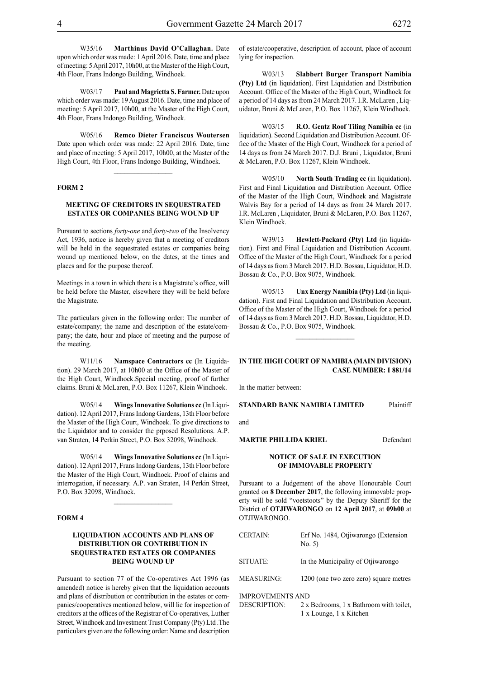W35/16 **Marthinus David O'Callaghan.** Date upon which order was made: 1 April 2016. Date, time and place of meeting: 5 April 2017, 10h00, at the Master of the High Court, 4th Floor, Frans Indongo Building, Windhoek.

W03/17 **Paul and Magrietta S. Farmer.** Date upon which order was made: 19 August 2016. Date, time and place of meeting: 5 April 2017, 10h00, at the Master of the High Court, 4th Floor, Frans Indongo Building, Windhoek.

W05/16 **Remco Dieter Franciscus Woutersen** Date upon which order was made: 22 April 2016. Date, time and place of meeting: 5 April 2017, 10h00, at the Master of the High Court, 4th Floor, Frans Indongo Building, Windhoek.

#### **FORM 2**

### **MEETING OF CREDITORS IN SEQUESTRATED ESTATES OR COMPANIES BEING WOUND UP**

Pursuant to sections *forty-one* and *forty-two* of the Insolvency Act, 1936, notice is hereby given that a meeting of creditors will be held in the sequestrated estates or companies being wound up mentioned below, on the dates, at the times and places and for the purpose thereof.

Meetings in a town in which there is a Magistrate's office, will be held before the Master, elsewhere they will be held before the Magistrate.

The particulars given in the following order: The number of estate/company; the name and description of the estate/company; the date, hour and place of meeting and the purpose of the meeting.

W11/16 **Namspace Contractors cc** (In Liquidation). 29 March 2017, at 10h00 at the Office of the Master of the High Court, Windhoek.Special meeting, proof of further claims. Bruni & McLaren, P.O. Box 11267, Klein Windhoek.

W05/14 **Wings Innovative Solutions cc** (In Liquidation). 12 April 2017, Frans Indong Gardens, 13th Floor before the Master of the High Court, Windhoek. To give directions to the Liquidator and to consider the prposed Resolutions. A.P. van Straten, 14 Perkin Street, P.O. Box 32098, Windhoek.

W05/14 **Wings Innovative Solutions cc** (In Liquidation). 12 April 2017, Frans Indong Gardens, 13th Floor before the Master of the High Court, Windhoek. Proof of claims and interrogation, if necessary. A.P. van Straten, 14 Perkin Street, P.O. Box 32098, Windhoek.

 $\frac{1}{2}$ 

#### **FORM 4**

### **LIQUIDATION ACCOUNTS AND PLANS OF DISTRIBUTION OR CONTRIBUTION IN SEQUESTRATED ESTATES OR COMPANIES BEING WOUND UP**

Pursuant to section 77 of the Co-operatives Act 1996 (as amended) notice is hereby given that the liquidation accounts and plans of distribution or contribution in the estates or companies/cooperatives mentioned below, will lie for inspection of creditors at the offices of the Registrar of Co-operatives, Luther Street, Windhoek and Investment Trust Company (Pty) Ltd .The particulars given are the following order: Name and description

of estate/cooperative, description of account, place of account lying for inspection.

W03/13 **Slabbert Burger Transport Namibia (Pty) Ltd** (in liquidation). First Liquidation and Distribution Account. Office of the Master of the High Court, Windhoek for a period of 14 days as from 24 March 2017. I.R. McLaren , Liquidator, Bruni & McLaren, P.O. Box 11267, Klein Windhoek.

W03/15 **R.O. Gentz Roof Tiling Namibia cc** (in liquidation). Second Liquidation and Distribution Account. Office of the Master of the High Court, Windhoek for a period of 14 days as from 24 March 2017. D.J. Bruni , Liquidator, Bruni & McLaren, P.O. Box 11267, Klein Windhoek.

W05/10 **North South Trading cc** (in liquidation). First and Final Liquidation and Distribution Account. Office of the Master of the High Court, Windhoek and Magistrate Walvis Bay for a period of 14 days as from 24 March 2017. I.R. McLaren , Liquidator, Bruni & McLaren, P.O. Box 11267, Klein Windhoek.

W39/13 **Hewlett-Packard (Pty) Ltd** (in liquidation). First and Final Liquidation and Distribution Account. Office of the Master of the High Court, Windhoek for a period of 14 days as from 3 March 2017. H.D. Bossau, Liquidator, H.D. Bossau & Co., P.O. Box 9075, Windhoek.

W05/13 **Unx Energy Namibia (Pty) Ltd** (in liquidation). First and Final Liquidation and Distribution Account. Office of the Master of the High Court, Windhoek for a period of 14 days as from 3 March 2017. H.D. Bossau, Liquidator, H.D. Bossau & Co., P.O. Box 9075, Windhoek.

 $\frac{1}{2}$ 

#### **IN THE HIGH COURT OF NAMIBIA (Main Division) Case Number: I 881/14**

In the matter between:

**STANDARD BANK NAMIBIA LIMITED** Plaintiff

and

#### **MARTIE PHILLIDA KRIEL** Defendant

**NOTICE OF SALE IN EXECUTION OF IMMOVABLE PROPERTY**

Pursuant to a Judgement of the above Honourable Court granted on **8 December 2017**, the following immovable property will be sold "voetstoots" by the Deputy Sheriff for the District of **OTJIWARONGO** on **12 April 2017**, at **09h00** at OTJIWARONGO.

| <b>CERTAIN:</b>         | Erf No. 1484, Otjiwarongo (Extension<br>No. 5) |
|-------------------------|------------------------------------------------|
| SITUATE:                | In the Municipality of Otiiwarongo             |
| <b>MEASURING:</b>       | 1200 (one two zero zero) square metres         |
| <b>IMPROVEMENTS AND</b> |                                                |

DESCRIPTION: 2 x Bedrooms, 1 x Bathroom with toilet, 1 x Lounge, 1 x Kitchen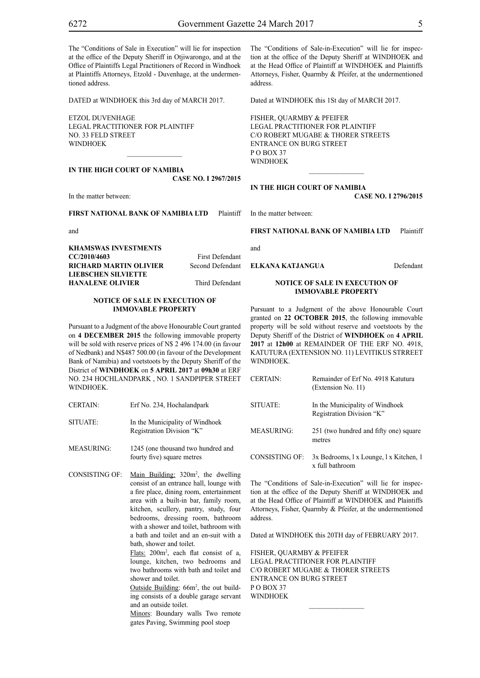The "Conditions of Sale in Execution" will lie for inspection at the office of the Deputy Sheriff in Otjiwarongo, and at the Office of Plaintiffs Legal Practitioners of Record in Windhoek at Plaintiffs Attorneys, Etzold - Duvenhage, at the undermentioned address.

DATED at WINDHOEK this 3rd day of MARCH 2017.

ETZOL DUVENHAGE LEGAL PRACTITIONER FOR PLAINTIFF NO. 33 FELD STREET **WINDHOFK** 

**IN THE HIGH COURT OF NAMIBIA CASE No. I 2967/2015**

 $\mathcal{L}=\mathcal{L}^{\mathcal{L}}$ 

In the matter between:

**FIRST NATIONAL BANK OF NAMIBIA LTD** Plaintiff

and

**KHAMSWAS INVESTMENTS CC/2010/4603** First Defendant **RICHARD MARTIN OLIVIER** Second Defendant **LIEBSCHEN SILVIETTE HANALENE OLIVIER** Third Defendant

#### **NOTICE OF SALE IN EXECUTION OF IMMOVABLE PROPERTY**

Pursuant to a Judgment of the above Honourable Court granted on **4 DECEMBER 2015** the following immovable property will be sold with reserve prices of N\$ 2 496 174.00 (in favour of Nedbank) and N\$487 500.00 (in favour of the Development Bank of Namibia) and voetstoots by the Deputy Sheriff of the District of **WINDHOEK** on **5 APRIL 2017** at **09h30** at ERF NO. 234 HOCHLANDPARK , NO. 1 SANDPIPER STREET **WINDHOEK** 

- CERTAIN: Erf No. 234, Hochalandpark
- SITUATE: In the Municipality of Windhoek Registration Division "K"
- MEASURING: 1245 (one thousand two hundred and fourty five) square metres
- CONSISTING OF: Main Building: 320m<sup>2</sup>, the dwelling consist of an entrance hall, lounge with a fire place, dining room, entertainment area with a built-in bar, family room, kitchen, scullery, pantry, study, four bedrooms, dressing room, bathroom with a shower and toilet, bathroom with a bath and toilet and an en-suit with a bath, shower and toilet.

Flats: 200m<sup>2</sup>, each flat consist of a, lounge, kitchen, two bedrooms and two bathrooms with bath and toilet and shower and toilet.

Outside Building: 66m<sup>2</sup>, the out building consists of a double garage servant and an outside toilet.

Minors: Boundary walls Two remote gates Paving, Swimming pool stoep

The "Conditions of Sale-in-Execution" will lie for inspection at the office of the Deputy Sheriff at WINDHOEK and at the Head Office of Plaintiff at WINDHOEK and Plaintiffs Attorneys, Fisher, Quarmby & Pfeifer, at the undermentioned address.

Dated at WINDHOEK this 1St day of MARCH 2017.

FISHER, QUARMBY & PFEIFER LEGAL PRACTITIONER FOR Plaintiff c/o Robert Mugabe & Thorer Streets entrance on Burg Street P O BOX 37 WINDHOEK

#### **IN THE HIGH COURT OF NAMIBIA**

**CASE No. I 2796/2015**

In the matter between:

**FIRST NATIONAL BANK OF NAMIBIA LTD** Plaintiff

and

**ELKANA KATJANGUA** Defendant

# **NOTICE OF SALE IN EXECUTION OF IMMOVABLE PROPERTY**

Pursuant to a Judgment of the above Honourable Court granted on **22 OCTOBER 2015**, the following immovable property will be sold without reserve and voetstoots by the Deputy Sheriff of the District of **WINDHOEK** on **4 APRIL 2017** at **12h00** at REMAINDER OF THE ERF NO. 4918, KATUTURA (EXTENSION NO. 11) LEVITIKUS STRREET WINDHOEK.

| <b>CERTAIN:</b> | Remainder of Erf No. 4918 Katutura<br>(Extension No. 11)     |
|-----------------|--------------------------------------------------------------|
| SITUATE:        | In the Municipality of Windhoek<br>Registration Division "K" |
| MEASURING:      | 251 (two hundred and fifty one) square<br>metres             |
| CONSISTING OF:  | 3x Bedrooms, 1x Lounge, 1x Kitchen, 1<br>x full bathroom     |

The "Conditions of Sale-in-Execution" will lie for inspection at the office of the Deputy Sheriff at WINDHOEK and at the Head Office of Plaintiff at WINDHOEK and Plaintiffs Attorneys, Fisher, Quarmby & Pfeifer, at the undermentioned address.

Dated at WINDHOEK this 20TH day of FEBRUARY 2017.

 $\frac{1}{2}$ 

FISHER, QUARMBY & PFEIFER LEGAL PRACTITIONER FOR Plaintiff c/o Robert Mugabe & Thorer Streets entrance on Burg Street P O BOX 37 WINDHOEK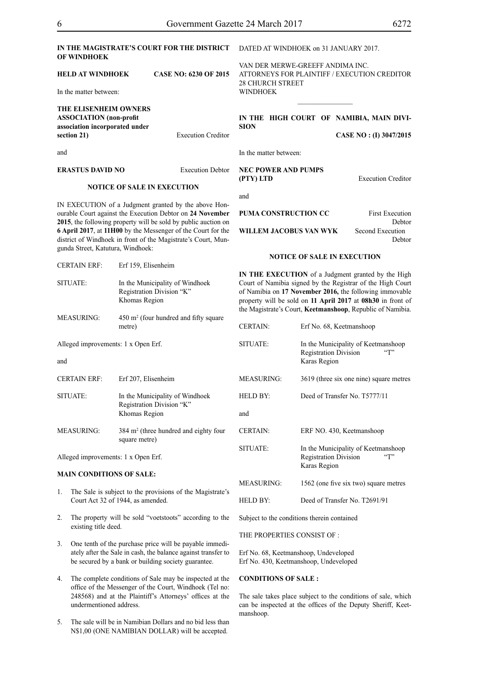**Execution Creditor** 

| IN THE MAGISTRATE'S COURT FOR THE DISTRICT |  |  |
|--------------------------------------------|--|--|
| <b>OF WINDHOEK</b>                         |  |  |

### **HELD AT WINDHOEK CASE NO: 6230 OF 2015**

In the matter between:

| THE ELISENHEIM OWNERS          |
|--------------------------------|
| <b>ASSOCIATION</b> (non-profit |
| association incorporated under |
| section 21)                    |
|                                |

DATED AT WINDHOEK on 31 JANUARY 2017.

VAN DER MERWE-GREEFF ANDIMA INC. ATTORNEYS FOR Plaintiff / EXECUTION CREDITOR 28 CHURCH STREET WINDHOEK

# **IN THE HIGH COURT OF NAMIBIA, MAIN DIVI-SION**

 $\frac{1}{2}$ 

**CASE NO : (I) 3047/2015**

In the matter between:

#### **NEC POWER AND PUMPS (PTY) LTD** Execution Creditor

and

**PUMA CONSTRUCTION CC** First Execution

CERTAIN: Erf No. 68, Keetmanshoop

**WILLEM JACOBUS VAN WYK** Second Execution

Debtor Debtor

#### **NOTICE OF SALE IN EXECUTION**

**IN THE EXECUTION** of a Judgment granted by the High Court of Namibia signed by the Registrar of the High Court of Namibia on **17 November 2016,** the following immovable property will be sold on **11 April 2017** at **08h30** in front of the Magistrate's Court, **Keetmanshoop**, Republic of Namibia.

| SITUATE:        | In the Municipality of Keetmanshoop<br><b>Registration Division</b><br>$\lq\lq$<br>Karas Region |
|-----------------|-------------------------------------------------------------------------------------------------|
| MEASURING:      | 3619 (three six one nine) square metres                                                         |
| <b>HELD BY:</b> | Deed of Transfer No. T5777/11                                                                   |
| and             |                                                                                                 |
| <b>CERTAIN:</b> | ERF NO. 430, Keetmanshoop                                                                       |
| SITUATE:        | In the Municipality of Keetmanshoop<br>$\lq\lq$<br><b>Registration Division</b><br>Karas Region |
| MEASURING:      | 1562 (one five six two) square metres                                                           |
| HELD BY:        | Deed of Transfer No. T2691/91                                                                   |
|                 |                                                                                                 |

Subject to the conditions therein contained

THE PROPERTIES CONSIST OF :

Erf No. 68, Keetmanshoop, Undeveloped Erf No. 430, Keetmanshoop, Undeveloped

# **CONDITIONS OF SALE :**

The sale takes place subject to the conditions of sale, which can be inspected at the offices of the Deputy Sheriff, Keetmanshoop.

SITUATE: In the Municipality of Windhoek

 $MFASIIRING$  $450$  m<sup>2</sup> (four hundred and fifty square metre)

Registration Division "K" Khomas Region

Alleged improvements: 1 x Open Erf.

gunda Street, Katutura, Windhoek:

CERTAIN ERF: Erf 159, Elisenheim

and

CERTAIN ERF: Erf 207, Elisenheim SITUATE: In the Municipality of Windhoek Registration Division "K" Khomas Region MEASURING: 384 m<sup>2</sup> (three hundred and eighty four

square metre)

Alleged improvements: 1 x Open Erf.

#### **MAIN CONDITIONS OF SALE:**

- 1. The Sale is subject to the provisions of the Magistrate's Court Act 32 of 1944, as amended.
- 2. The property will be sold "voetstoots" according to the existing title deed.
- 3. One tenth of the purchase price will be payable immediately after the Sale in cash, the balance against transfer to be secured by a bank or building society guarantee.
- 4. The complete conditions of Sale may be inspected at the office of the Messenger of the Court, Windhoek (Tel no: 248568) and at the Plaintiff's Attorneys' offices at the undermentioned address.
- 5. The sale will be in Namibian Dollars and no bid less than N\$1,00 (ONE NAMIBIAN DOLLAR) will be accepted.

and

# **NOTICE OF SALE IN EXECUTION**

**ERASTUS DAVID NO** Execution Debtor

IN EXECUTION of a Judgment granted by the above Honourable Court against the Execution Debtor on **24 November 2015**, the following property will be sold by public auction on **6 April 2017**, at **11H00** by the Messenger of the Court for the district of Windhoek in front of the Magistrate's Court, Mun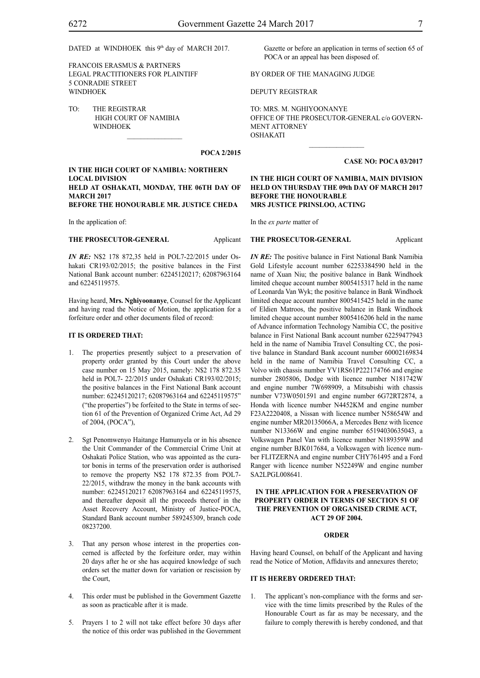DATED at WINDHOEK this 9<sup>th</sup> day of MARCH 2017.

FRANCOIS ERASMUS & PARTNERS LEGAL PRACTITIONERS FOR PLAINTIFF 5 CONRADIE STREET WINDHOEK

TO: THE REGISTRAR HIGH COURT OF NAMIBIA WINDHOEK

# **POCA 2/2015**

### **IN THE HIGH COURT OF NAMIBIA: NORTHERN LOCAL DIVISION HELD AT OSHAKATI, MONDAY, THE 06TH DAY OF MARCH 2017 BEFORE THE HONOURABLE MR. JUSTICE CHEDA**

 $\mathcal{L}=\mathcal{L}^{\mathcal{L}}$ 

In the application of:

#### **THE PROSECUTOR-GENERAL** Applicant

*IN RE:* N\$2 178 872,35 held in POL7-22/2015 under Oshakati CR193/02/2015; the positive balances in the First National Bank account number: 62245120217; 62087963164 and 62245119575.

Having heard, **Mrs. Nghiyoonanye**, Counsel for the Applicant and having read the Notice of Motion, the application for a forfeiture order and other documents filed of record:

#### **IT IS ORDERED THAT:**

- 1. The properties presently subject to a preservation of property order granted by this Court under the above case number on 15 May 2015, namely: N\$2 178 872.35 held in POL7- 22/2015 under Oshakati CR193/02/2015; the positive balances in the First National Bank account number: 62245120217; 62087963164 and 62245119575" ("the properties") be forfeited to the State in terms of section 61 of the Prevention of Organized Crime Act, Ad 29 of 2004, (POCA"),
- 2. Sgt Penomwenyo Haitange Hamunyela or in his absence the Unit Commander of the Commercial Crime Unit at Oshakati Police Station, who was appointed as the curator bonis in terms of the preservation order is authorised to remove the property N\$2 178 872.35 from POL7- 22/2015, withdraw the money in the bank accounts with number: 62245120217 62087963164 and 62245119575, and thereafter deposit all the proceeds thereof in the Asset Recovery Account, Ministry of Justice-POCA, Standard Bank account number 589245309, branch code 08237200.
- 3. That any person whose interest in the properties concerned is affected by the forfeiture order, may within 20 days after he or she has acquired knowledge of such orders set the matter down for variation or rescission by the Court,
- 4. This order must be published in the Government Gazette as soon as practicable after it is made.
- 5. Prayers 1 to 2 will not take effect before 30 days after the notice of this order was published in the Government

Gazette or before an application in terms of section 65 of POCA or an appeal has been disposed of.

# BY ORDER OF THE MANAGING JUDGE

DEPUTY REGISTRAR

TO: MRS. M. NGHIYOONANYE OFFICE OF THE PROSECUTOR-GENERAL c/o GOVERN-MENT ATTORNEY OSHAKATI

 $\frac{1}{2}$ 

#### **CASE NO: POCA 03/2017**

#### **IN THE HIGH COURT OF NAMIBIA, MAIN DIVISION HELD ON THURSDAY THE 09th DAY OF MARCH 2017 BEFORE THE HONOURABLE MRS JUSTICE PRINSLOO, ACTING**

In the *ex parte* matter of

#### **THE PROSECUTOR-GENERAL** Applicant

*IN RE*: The positive balance in First National Bank Namibia Gold Lifestyle account number 62253384590 held in the name of Xuan Niu; the positive balance in Bank Windhoek limited cheque account number 8005415317 held in the name of Leonarda Van Wyk; the positive balance in Bank Windhoek limited cheque account number 8005415425 held in the name of Eldien Matroos, the positive balance in Bank Windhoek limited cheque account number 8005416206 held in the name of Advance information Technology Namibia CC, the positive balance in First National Bank account number 62259477943 held in the name of Namibia Travel Consulting CC, the positive balance in Standard Bank account number 60002169834 held in the name of Namibia Travel Consulting CC, a Volvo with chassis number YV1RS61P222174766 and engine number 2805806, Dodge with licence number N181742W and engine number 7W698909, a Mitsubishi with chassis number V73W0501591 and engine number 6G72RT2874, a Honda with licence number N4452KM and engine number F23A2220408, a Nissan with licence number N58654W and engine number MR20135066A, a Mercedes Benz with licence number N13366W and engine number 65194030635043, a Volkswagen Panel Van with licence number N189359W and engine number BJK017684, a Volkswagen with licence number FLITZERNA and engine number CHY761495 and a Ford Ranger with licence number N52249W and engine number SA2LPGL008641.

### **IN THE APPLICATION FOR A PRESERVATION OF PROPERTY ORDER IN TERMS OF SECTION 51 OF THE PREVENTION OF ORGANISED CRIME ACT, ACT 29 OF 2004.**

#### **ORDER**

Having heard Counsel, on behalf of the Applicant and having read the Notice of Motion, Affidavits and annexures thereto;

# **IT IS HEREBY ORDERED THAT:**

1. The applicant's non-compliance with the forms and service with the time limits prescribed by the Rules of the Honourable Court as far as may be necessary, and the failure to comply therewith is hereby condoned, and that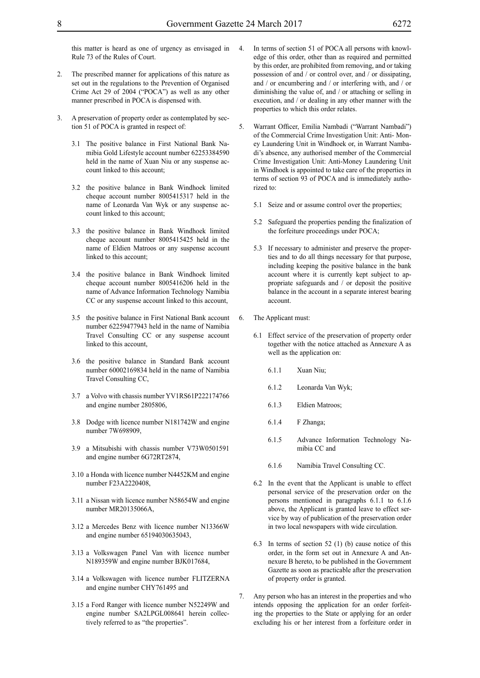this matter is heard as one of urgency as envisaged in Rule 73 of the Rules of Court.

- The prescribed manner for applications of this nature as set out in the regulations to the Prevention of Organised Crime Act 29 of 2004 ("POCA") as well as any other manner prescribed in POCA is dispensed with.
- 3. A preservation of property order as contemplated by section 51 of POCA is granted in respect of:
	- 3.1 The positive balance in First National Bank Namibia Gold Lifestyle account number 62253384590 held in the name of Xuan Niu or any suspense account linked to this account;
	- 3.2 the positive balance in Bank Windhoek limited cheque account number 8005415317 held in the name of Leonarda Van Wyk or any suspense account linked to this account;
	- 3.3 the positive balance in Bank Windhoek limited cheque account number 8005415425 held in the name of Eldien Matroos or any suspense account linked to this account;
	- 3.4 the positive balance in Bank Windhoek limited cheque account number 8005416206 held in the name of Advance Information Technology Namibia CC or any suspense account linked to this account,
	- 3.5 the positive balance in First National Bank account number 62259477943 held in the name of Namibia Travel Consulting CC or any suspense account linked to this account,
	- 3.6 the positive balance in Standard Bank account number 60002169834 held in the name of Namibia Travel Consulting CC,
	- 3.7 a Volvo with chassis number YV1RS61P222174766 and engine number 2805806,
	- 3.8 Dodge with licence number N181742W and engine number 7W698909,
	- 3.9 a Mitsubishi with chassis number V73W0501591 and engine number 6G72RT2874,
	- 3.10 a Honda with licence number N4452KM and engine number F23A2220408,
	- 3.11 a Nissan with licence number N58654W and engine number MR20135066A,
	- 3.12 a Mercedes Benz with licence number N13366W and engine number 65194030635043,
	- 3.13 a Volkswagen Panel Van with licence number N189359W and engine number BJK017684,
	- 3.14 a Volkswagen with licence number FLITZERNA and engine number CHY761495 and
	- 3.15 a Ford Ranger with licence number N52249W and engine number SA2LPGL008641 herein collectively referred to as "the properties".
- 4. In terms of section 51 of POCA all persons with knowledge of this order, other than as required and permitted by this order, are prohibited from removing, and or taking possession of and / or control over, and / or dissipating, and / or encumbering and / or interfering with, and / or diminishing the value of, and / or attaching or selling in execution, and / or dealing in any other manner with the properties to which this order relates.
- 5. Warrant Officer, Emilia Nambadi ("Warrant Nambadi") of the Commercial Crime Investigation Unit: Anti- Money Laundering Unit in Windhoek or, in Warrant Nambadi's absence, any authorised member of the Commercial Crime Investigation Unit: Anti-Money Laundering Unit in Windhoek is appointed to take care of the properties in terms of section 93 of POCA and is immediately authorized to:
	- 5.1 Seize and or assume control over the properties;
	- 5.2 Safeguard the properties pending the finalization of the forfeiture proceedings under POCA;
	- 5.3 If necessary to administer and preserve the properties and to do all things necessary for that purpose, including keeping the positive balance in the bank account where it is currently kept subject to appropriate safeguards and / or deposit the positive balance in the account in a separate interest bearing account.
- 6. The Applicant must:
	- 6.1 Effect service of the preservation of property order together with the notice attached as Annexure A as well as the application on:
		- 6.1.1 Xuan Niu;
		- 6.1.2 Leonarda Van Wyk;
		- 6.1.3 Eldien Matroos;
		- 6.1.4 F Zhanga;
		- 6.1.5 Advance Information Technology Namibia CC and
		- 6.1.6 Namibia Travel Consulting CC.
	- 6.2 In the event that the Applicant is unable to effect personal service of the preservation order on the persons mentioned in paragraphs 6.1.1 to 6.1.6 above, the Applicant is granted leave to effect service by way of publication of the preservation order in two local newspapers with wide circulation.
	- 6.3 In terms of section 52 (1) (b) cause notice of this order, in the form set out in Annexure A and Annexure B hereto, to be published in the Government Gazette as soon as practicable after the preservation of property order is granted.
- 7. Any person who has an interest in the properties and who intends opposing the application for an order forfeiting the properties to the State or applying for an order excluding his or her interest from a forfeiture order in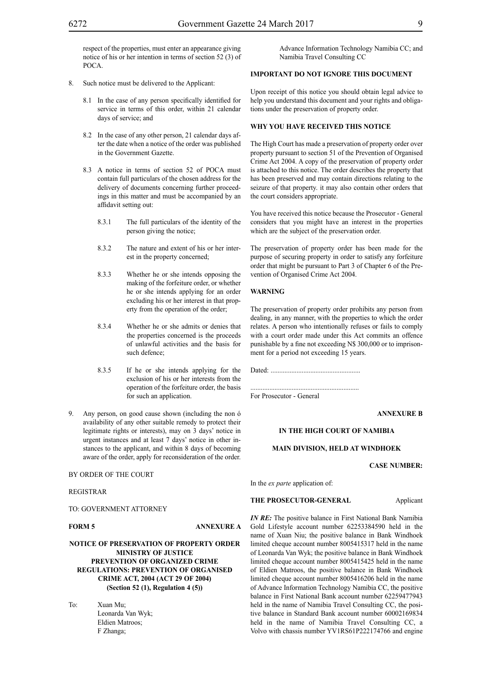respect of the properties, must enter an appearance giving notice of his or her intention in terms of section 52 (3) of POCA.

- 8. Such notice must be delivered to the Applicant:
	- 8.1 In the case of any person specifically identified for service in terms of this order, within 21 calendar days of service; and
	- 8.2 In the case of any other person, 21 calendar days after the date when a notice of the order was published in the Government Gazette.
	- 8.3 A notice in terms of section 52 of POCA must contain full particulars of the chosen address for the delivery of documents concerning further proceedings in this matter and must be accompanied by an affidavit setting out:
		- 8.3.1 The full particulars of the identity of the person giving the notice;
		- 8.3.2 The nature and extent of his or her interest in the property concerned;
		- 8.3.3 Whether he or she intends opposing the making of the forfeiture order, or whether he or she intends applying for an order excluding his or her interest in that property from the operation of the order;
		- 8.3.4 Whether he or she admits or denies that the properties concerned is the proceeds of unlawful activities and the basis for such defence;
		- 8.3.5 If he or she intends applying for the exclusion of his or her interests from the operation of the forfeiture order, the basis for such an application.
- Any person, on good cause shown (including the non  $\acute{o}$ availability of any other suitable remedy to protect their legitimate rights or interests), may on 3 days' notice in urgent instances and at least 7 days' notice in other instances to the applicant, and within 8 days of becoming aware of the order, apply for reconsideration of the order.

#### BY ORDER OF THE COURT

REGISTRAR

TO: GOVERNMENT ATTORNEY

**FORM 5 ANNEXURE A**

# **NOTICE OF PRESERVATION OF PROPERTY ORDER MINISTRY OF JUSTICE PREVENTION OF ORGANIZED CRIME REGULATIONS: PREVENTION OF ORGANISED CRIME ACT, 2004 (ACT 29 OF 2004) (Section 52 (1), Regulation 4 (5))**

To: Xuan Mu; Leonarda Van Wyk; Eldien Matroos; F Zhanga;

Advance Information Technology Namibia CC; and Namibia Travel Consulting CC

# **IMPORTANT DO NOT IGNORE THIS DOCUMENT**

Upon receipt of this notice you should obtain legal advice to help you understand this document and your rights and obligations under the preservation of property order.

#### **WHY YOU HAVE RECEIVED THIS NOTICE**

The High Court has made a preservation of property order over property pursuant to section 51 of the Prevention of Organised Crime Act 2004. A copy of the preservation of property order is attached to this notice. The order describes the property that has been preserved and may contain directions relating to the seizure of that property. it may also contain other orders that the court considers appropriate.

You have received this notice because the Prosecutor - General considers that you might have an interest in the properties which are the subject of the preservation order.

The preservation of property order has been made for the purpose of securing property in order to satisfy any forfeiture order that might be pursuant to Part 3 of Chapter 6 of the Prevention of Organised Crime Act 2004.

#### **WARNING**

The preservation of property order prohibits any person from dealing, in any manner, with the properties to which the order relates. A person who intentionally refuses or fails to comply with a court order made under this Act commits an offence punishable by a fine not exceeding N\$ 300,000 or to imprisonment for a period not exceeding 15 years.

Dated: .................................................... ............................................................... For Prosecutor - General

**ANNEXURE B**

#### **IN THE HIGH COURT OF NAMIBIA**

# **MAIN DIVISION, HELD AT WINDHOEK**

**CASE NUMBER:**

In the *ex parte* application of:

# **THE PROSECUTOR-GENERAL** Applicant

*IN RE*: The positive balance in First National Bank Namibia Gold Lifestyle account number 62253384590 held in the name of Xuan Niu; the positive balance in Bank Windhoek limited cheque account number 8005415317 held in the name of Leonarda Van Wyk; the positive balance in Bank Windhoek limited cheque account number 8005415425 held in the name of Eldien Matroos, the positive balance in Bank Windhoek limited cheque account number 8005416206 held in the name of Advance Information Technology Namibia CC, the positive balance in First National Bank account number 62259477943 held in the name of Namibia Travel Consulting CC, the positive balance in Standard Bank account number 60002169834 held in the name of Namibia Travel Consulting CC, a Volvo with chassis number YV1RS61P222174766 and engine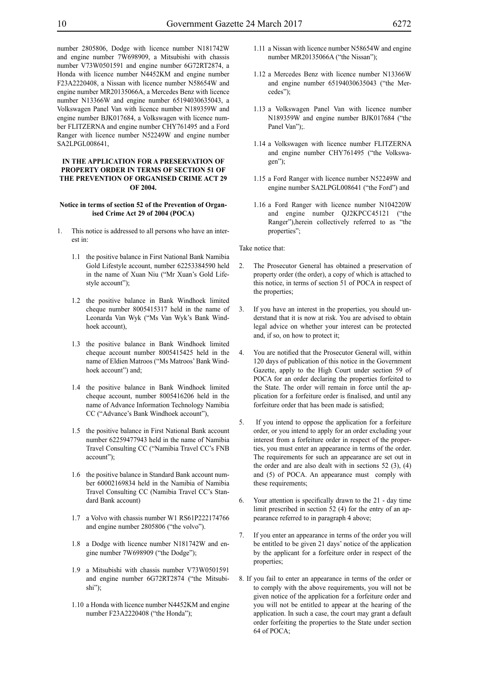number 2805806, Dodge with licence number N181742W and engine number 7W698909, a Mitsubishi with chassis number V73W0501591 and engine number 6G72RT2874, a Honda with licence number N4452KM and engine number F23A2220408, a Nissan with licence number N58654W and engine number MR20135066A, a Mercedes Benz with licence number N13366W and engine number 65194030635043, a Volkswagen Panel Van with licence number N189359W and engine number BJK017684, a Volkswagen with licence number FLITZERNA and engine number CHY761495 and a Ford Ranger with licence number N52249W and engine number SA2LPGL008641,

# **IN THE APPLICATION FOR A PRESERVATION OF PROPERTY ORDER IN TERMS OF SECTION 51 OF THE PREVENTION OF ORGANISED CRIME ACT 29 OF 2004.**

#### **Notice in terms of section 52 of the Prevention of Organised Crime Act 29 of 2004 (POCA)**

- 1. This notice is addressed to all persons who have an interest in:
	- 1.1 the positive balance in First National Bank Namibia Gold Lifestyle account, number 62253384590 held in the name of Xuan Niu ("Mr Xuan's Gold Lifestyle account");
	- 1.2 the positive balance in Bank Windhoek limited cheque number 8005415317 held in the name of Leonarda Van Wyk ("Ms Van Wyk's Bank Windhoek account),
	- 1.3 the positive balance in Bank Windhoek limited cheque account number 8005415425 held in the name of Eldien Matroos ("Ms Matroos' Bank Windhoek account") and;
	- 1.4 the positive balance in Bank Windhoek limited cheque account, number 8005416206 held in the name of Advance Information Technology Namibia CC ("Advance's Bank Windhoek account"),
	- 1.5 the positive balance in First National Bank account number 62259477943 held in the name of Namibia Travel Consulting CC ("Namibia Travel CC's FNB account");
	- 1.6 the positive balance in Standard Bank account number 60002169834 held in the Namibia of Namibia Travel Consulting CC (Namibia Travel CC's Standard Bank account)
	- 1.7 a Volvo with chassis number W1 RS61P222174766 and engine number 2805806 ("the volvo").
	- 1.8 a Dodge with licence number N181742W and engine number 7W698909 ("the Dodge");
	- 1.9 a Mitsubishi with chassis number V73W0501591 and engine number 6G72RT2874 ("the Mitsubishi");
	- 1.10 a Honda with licence number N4452KM and engine number F23A2220408 ("the Honda");
- 1.11 a Nissan with licence number N58654W and engine number MR20135066A ("the Nissan");
- 1.12 a Mercedes Benz with licence number N13366W and engine number 65194030635043 ("the Mercedes");
- 1.13 a Volkswagen Panel Van with licence number N189359W and engine number BJK017684 ("the Panel Van");
- 1.14 a Volkswagen with licence number FLITZERNA and engine number CHY761495 ("the Volkswagen");
- 1.15 a Ford Ranger with licence number N52249W and engine number SA2LPGL008641 ("the Ford") and
- 1.16 a Ford Ranger with licence number N104220W and engine number QJ2KPCC45121 ("the Ranger"),herein collectively referred to as "the properties";

Take notice that:

- 2. The Prosecutor General has obtained a preservation of property order (the order), a copy of which is attached to this notice, in terms of section 51 of POCA in respect of the properties;
- 3. If you have an interest in the properties, you should understand that it is now at risk. You are advised to obtain legal advice on whether your interest can be protected and, if so, on how to protect it;
- 4. You are notified that the Prosecutor General will, within 120 days of publication of this notice in the Government Gazette, apply to the High Court under section 59 of POCA for an order declaring the properties forfeited to the State. The order will remain in force until the application for a forfeiture order is finalised, and until any forfeiture order that has been made is satisfied;
- 5. If you intend to oppose the application for a forfeiture order, or you intend to apply for an order excluding your interest from a forfeiture order in respect of the properties, you must enter an appearance in terms of the order. The requirements for such an appearance are set out in the order and are also dealt with in sections  $52$  (3), (4) and (5) of POCA. An appearance must comply with these requirements;
- 6. Your attention is specifically drawn to the 21 day time limit prescribed in section 52 (4) for the entry of an appearance referred to in paragraph 4 above;
- 7. If you enter an appearance in terms of the order you will be entitled to be given 21 days' notice of the application by the applicant for a forfeiture order in respect of the properties;
- 8. If you fail to enter an appearance in terms of the order or to comply with the above requirements, you will not be given notice of the application for a forfeiture order and you will not be entitled to appear at the hearing of the application. In such a case, the court may grant a default order forfeiting the properties to the State under section 64 of POCA;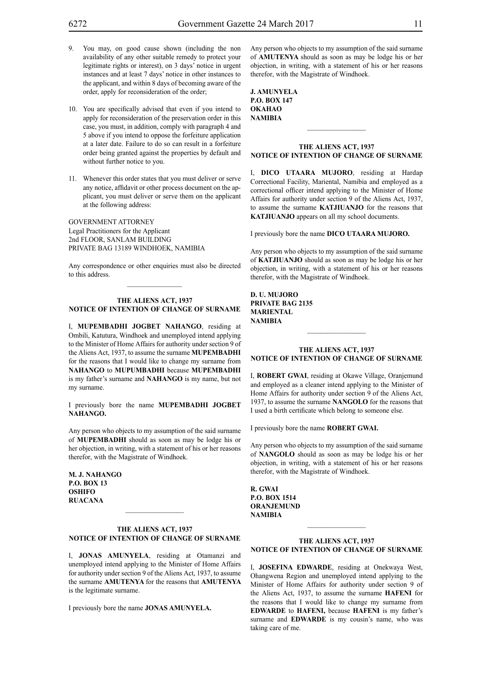- 9. You may, on good cause shown (including the non availability of any other suitable remedy to protect your legitimate rights or interest), on 3 days' notice in urgent instances and at least 7 days' notice in other instances to the applicant, and within 8 days of becoming aware of the order, apply for reconsideration of the order;
- 10. You are specifically advised that even if you intend to apply for reconsideration of the preservation order in this case, you must, in addition, comply with paragraph 4 and 5 above if you intend to oppose the forfeiture application at a later date. Failure to do so can result in a forfeiture order being granted against the properties by default and without further notice to you.
- 11. Whenever this order states that you must deliver or serve any notice, affidavit or other process document on the applicant, you must deliver or serve them on the applicant at the following address:

GOVERNMENT ATTORNEY Legal Practitioners for the Applicant 2nd FLOOR, SANLAM BUILDING PRIVATE BAG 13189 WINDHOEK, NAMIBIA

Any correspondence or other enquiries must also be directed to this address.  $\mathcal{L}=\mathcal{L}^{\mathcal{L}}$ 

#### **THE ALIENS ACT, 1937 NOTICE OF INTENTION OF CHANGE OF SURNAME**

I, **Mupembadhi jOgbet nahango**, residing at Ombili, Katutura, Windhoek and unemployed intend applying to the Minister of Home Affairs for authority under section 9 of the Aliens Act, 1937, to assume the surname **MUPEMBADHI** for the reasons that I would like to change my surname from **NAHANGO** to **MUPUMBADHI** because **MUPEMBADHI** is my father's surname and **NAHANGO** is my name, but not my surname.

I previously bore the name **Mupembadhi jOgbet** NAHANGO.

Any person who objects to my assumption of the said surname of **Mupembadhi** should as soon as may be lodge his or her objection, in writing, with a statement of his or her reasons therefor, with the Magistrate of Windhoek.

**M. j. nahango P.o. box 13 oshifo ruacana**

#### **THE ALIENS ACT, 1937 NOTICE OF INTENTION OF CHANGE OF SURNAME**

 $\frac{1}{2}$ 

I, **jonas amunyela**, residing at Otamanzi and unemployed intend applying to the Minister of Home Affairs for authority under section 9 of the Aliens Act, 1937, to assume the surname **AMUTENYA** for the reasons that **AMUTENYA** is the legitimate surname.

I previously bore the name **jonas amunyela.**

Any person who objects to my assumption of the said surname of **amutenya** should as soon as may be lodge his or her objection, in writing, with a statement of his or her reasons therefor, with the Magistrate of Windhoek.

| J. AMUNYELA         |
|---------------------|
| <b>P.O. BOX 147</b> |
| OKAHAO              |
| <b>NAMIBIA</b>      |

#### **THE ALIENS ACT, 1937 NOTICE OF INTENTION OF CHANGE OF SURNAME**

I, **dico utaara mujoro**, residing at Hardap Correctional Facility, Mariental, Namibia and employed as a correctional officer intend applying to the Minister of Home Affairs for authority under section 9 of the Aliens Act, 1937, to assume the surname **KATJIUANJO** for the reasons that **KATJIUANJO** appears on all my school documents.

I previously bore the name **dico utaara mujoro.**

Any person who objects to my assumption of the said surname of **katjiuanjo** should as soon as may be lodge his or her objection, in writing, with a statement of his or her reasons therefor, with the Magistrate of Windhoek.

**d. u. mujoro Private bag 2135 mariental NAMIBIA**

#### **THE ALIENS ACT, 1937 NOTICE OF INTENTION OF CHANGE OF SURNAME**

I, **robert gwai**, residing at Okawe Village, Oranjemund and employed as a cleaner intend applying to the Minister of Home Affairs for authority under section 9 of the Aliens Act, 1937, to assume the surname **NANGOLO** for the reasons that I used a birth certificate which belong to someone else.

I previously bore the name **robert gwai.**

Any person who objects to my assumption of the said surname of **NANGOLO** should as soon as may be lodge his or her objection, in writing, with a statement of his or her reasons therefor, with the Magistrate of Windhoek.

**r. gwai P.o. box 1514 ORANJEMUND NAMIBIA**

## **THE ALIENS ACT, 1937 NOTICE OF INTENTION OF CHANGE OF SURNAME**

 $\frac{1}{2}$ 

I, **JOSEFINA EDWARDE**, residing at Onekwaya West, Ohangwena Region and unemployed intend applying to the Minister of Home Affairs for authority under section 9 of the Aliens Act, 1937, to assume the surname **hafeni** for the reasons that I would like to change my surname from **EDWARDE** to **HAFENI,** because **HAFENI** is my father's surname and **EDWARDE** is my cousin's name, who was taking care of me.